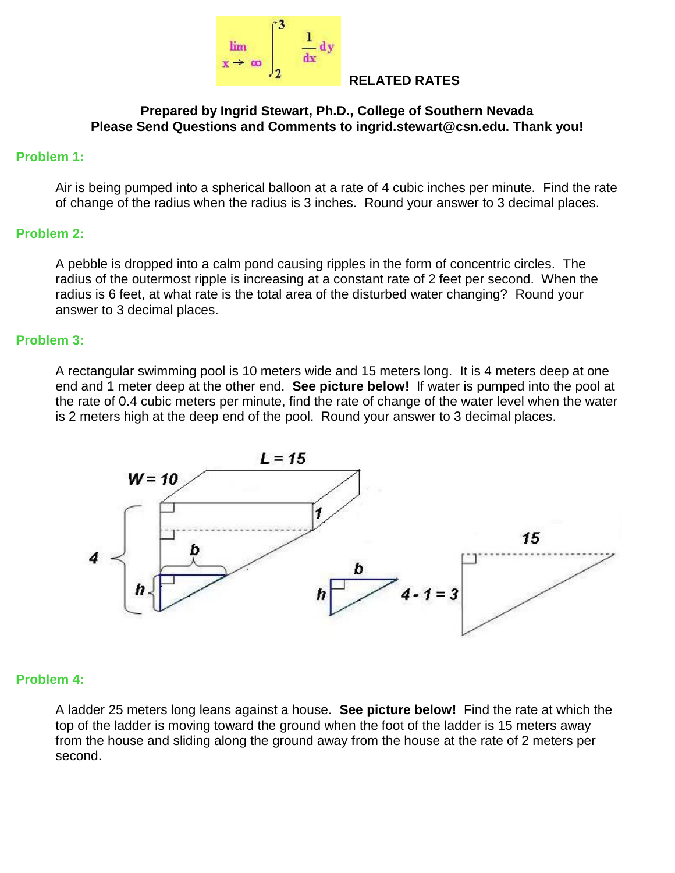

#### **RELATED RATES**

#### **Prepared by Ingrid Stewart, Ph.D., College of Southern Nevada Please Send Questions and Comments to ingrid.stewart@csn.edu. Thank you!**

#### **Problem 1:**

Air is being pumped into a spherical balloon at a rate of 4 cubic inches per minute. Find the rate of change of the radius when the radius is 3 inches. Round your answer to 3 decimal places.

### **Problem 2:**

A pebble is dropped into a calm pond causing ripples in the form of concentric circles. The radius of the outermost ripple is increasing at a constant rate of 2 feet per second. When the radius is 6 feet, at what rate is the total area of the disturbed water changing? Round your answer to 3 decimal places.

### **Problem 3:**

A rectangular swimming pool is 10 meters wide and 15 meters long. It is 4 meters deep at one end and 1 meter deep at the other end. **See picture below!** If water is pumped into the pool at the rate of 0.4 cubic meters per minute, find the rate of change of the water level when the water is 2 meters high at the deep end of the pool. Round your answer to 3 decimal places.



#### **Problem 4:**

A ladder 25 meters long leans against a house. **See picture below!** Find the rate at which the top of the ladder is moving toward the ground when the foot of the ladder is 15 meters away from the house and sliding along the ground away from the house at the rate of 2 meters per second.